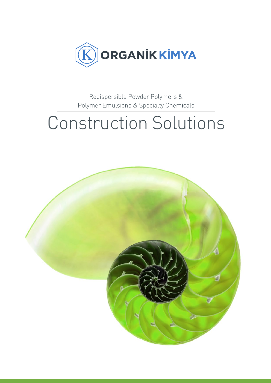

Redispersible Powder Polymers & Polymer Emulsions & Specialty Chemicals

# Construction Solutions

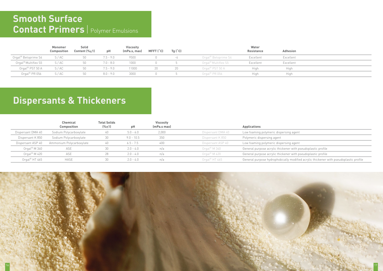|                             | <b>Monomer</b><br>Composition | Solid<br>Content $(\% \pm 1)$ | pH          | <b>Viscosity</b><br>(mPa.s, max) | MFFT (°C) | Tg('C) |                     | Water<br>Resistance | <b>Adhesion</b> |  |
|-----------------------------|-------------------------------|-------------------------------|-------------|----------------------------------|-----------|--------|---------------------|---------------------|-----------------|--|
| Orgal® Betoprime S4         | S/AC                          | 50                            | $7.5 - 9.0$ | 9500                             |           |        | Orgal® Betoprime S4 | Excellent           | Excellent       |  |
| Orgal® Multiflex S5         | S/AC                          | 50                            | $7.0 - 8.0$ | 1000                             |           |        | Orgal® Multiflex S5 | Excellent           | Excellent       |  |
| Orgal <sup>®</sup> PST 50 A | S/AC                          | 50                            | $7.5 - 9.0$ | 11000                            | 20        | 20     | Orgal® PST 50 A     | High                | High            |  |
| Orgal <sup>®</sup> PR 056   | S/AC                          | 50                            | $8.0 - 9.0$ | 3000                             |           |        | Orgal® PR 056       | High                | High            |  |

### **Smooth Surface Contact Primers** | Polymer Emulsions

### **Dispersants & Thickeners**

|                            | <b>Chemical</b><br><b>Total Solids</b> |       |              | <b>Viscosity</b> |                           |                                   |
|----------------------------|----------------------------------------|-------|--------------|------------------|---------------------------|-----------------------------------|
|                            | <b>Composition</b>                     | (%±1) | pH           | (mPa.s max)      |                           | <b>Applications</b>               |
| Dispersant DMA 40          | Sodium Polycarboxylate                 | 40    | $5.0 - 6.0$  | 2,000            | Dispersant DMA 40         | Low foaming polymeric dispersing  |
| Dispersant K 850           | Sodium Polycarboxylate                 | 30    | $9.0 - 10.5$ | 350              | Dispersant K 850          | Polymeric dispersing agent        |
| Dispersant ASP 40          | Ammonium Polycarboxylate               | 40    | $6.5 - 7.5$  | 400              | Dispersant ASP 40         | Low foaming polymeric dispersing  |
| Orgal <sup>®</sup> M $340$ | ASE                                    | 30    | $2.0 - 4.0$  | n/a              | $O$ rgal® M 340           | General purpose acrylic thickener |
| Orgal <sup>®</sup> M 420   | ASE                                    | 28    | $2.0 - 4.0$  | n/a              | Orgal <sup>®</sup> M 420  | General purpose acrylic thickener |
| Orgal <sup>®</sup> HT 465  | <b>HASE</b>                            | 30    | $2.0 - 4.0$  | n/a              | Orgal <sup>®</sup> HT 465 | General purpose hydrophobically   |
|                            |                                        |       |              |                  |                           |                                   |



### g agent

g agent

with pseudoplastic profile

r with pseudoplastic profile

modified acrylic thickener with pseudoplastic profile